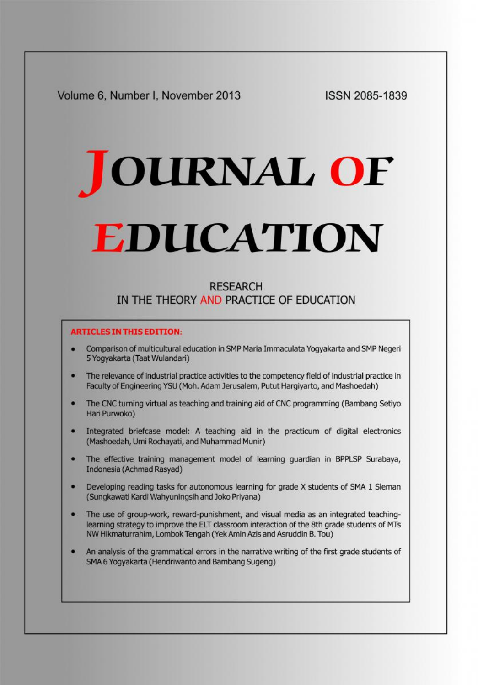Volume 6, Number I, November 2013

**ISSN 2085-1839** 

# JOURNAL OF **EDUCATION**

# **RESEARCH** IN THE THEORY AND PRACTICE OF EDUCATION

## **ARTICLES IN THIS EDITION:**

- Comparison of multicultural education in SMP Maria Immaculata Yogyakarta and SMP Negeri 5 Yogyakarta (Taat Wulandari)
- The relevance of industrial practice activities to the competency field of industrial practice in  $\bullet$ Faculty of Engineering YSU (Moh. Adam Jerusalem, Putut Hargiyarto, and Mashoedah)
- The CNC turning virtual as teaching and training aid of CNC programming (Bambang Setiyo  $\bullet$ Hari Purwoko)
- Integrated briefcase model: A teaching aid in the practicum of digital electronics о (Mashoedah, Umi Rochayati, and Muhammad Munir)
- The effective training management model of learning guardian in BPPLSP Surabaya, ۰ Indonesia (Achmad Rasyad)
- Developing reading tasks for autonomous learning for grade X students of SMA 1 Sleman  $\bullet$ (Sungkawati Kardi Wahyuningsih and Joko Priyana)
- The use of group-work, reward-punishment, and visual media as an integrated teachinglearning strategy to improve the ELT classroom interaction of the 8th grade students of MTs NW Hikmaturrahim, Lombok Tengah (Yek Amin Azis and Asruddin B. Tou)
- An analysis of the grammatical errors in the narrative writing of the first grade students of ۰ SMA 6 Yogyakarta (Hendriwanto and Bambang Sugeng)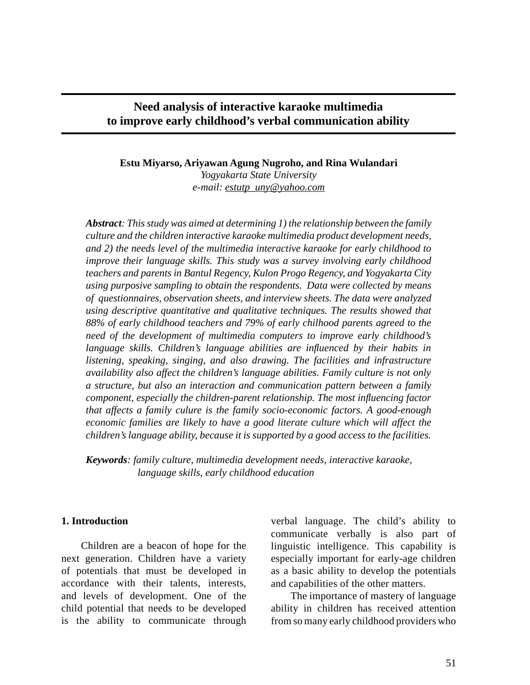### **Need analysis of interactive karaoke multimedia to improve early childhood's verbal communication ability**

### **Estu Miyarso, Ariyawan Agung Nugroho, and Rina Wulandari** *Yogyakarta State University e-mail: estutp\_uny@yahoo.com*

*Abstract: This study was aimed at determining 1) the relationship between the family culture and the children interactive karaoke multimedia product development needs, and 2) the needs level of the multimedia interactive karaoke for early childhood to improve their language skills. This study was a survey involving early childhood teachers and parents in Bantul Regency, Kulon Progo Regency, and Yogyakarta City using purposive sampling to obtain the respondents. Data were collected by means of questionnaires, observation sheets, and interview sheets. The data were analyzed using descriptive quantitative and qualitative techniques. The results showed that 88% of early childhood teachers and 79% of early chilhood parents agreed to the need of the development of multimedia computers to improve early childhood's language skills. Children's language abilities are influenced by their habits in listening, speaking, singing, and also drawing. The facilities and infrastructure availability also affect the children's language abilities. Family culture is not only a structure, but also an interaction and communication pattern between a family component, especially the children-parent relationship. The most influencing factor that affects a family culure is the family socio-economic factors. A good-enough economic families are likely to have a good literate culture which will affect the children's language ability, because it is supported by a good access to the facilities.*

*Keywords: family culture, multimedia development needs, interactive karaoke, language skills, early childhood education*

### **1. Introduction**

Children are a beacon of hope for the next generation. Children have a variety of potentials that must be developed in accordance with their talents, interests, and levels of development. One of the child potential that needs to be developed is the ability to communicate through verbal language. The child's ability to communicate verbally is also part of linguistic intelligence. This capability is especially important for early-age children as a basic ability to develop the potentials and capabilities of the other matters.

The importance of mastery of language ability in children has received attention from so many early childhood providers who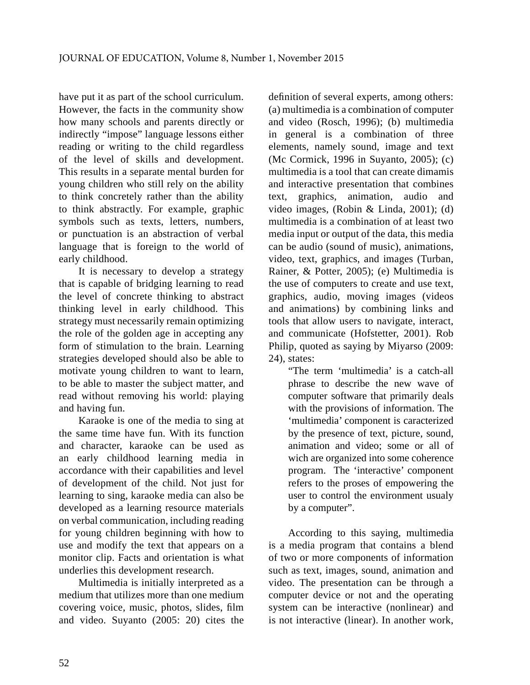have put it as part of the school curriculum. However, the facts in the community show how many schools and parents directly or indirectly "impose" language lessons either reading or writing to the child regardless of the level of skills and development. This results in a separate mental burden for young children who still rely on the ability to think concretely rather than the ability to think abstractly. For example, graphic symbols such as texts, letters, numbers, or punctuation is an abstraction of verbal language that is foreign to the world of early childhood.

It is necessary to develop a strategy that is capable of bridging learning to read the level of concrete thinking to abstract thinking level in early childhood. This strategy must necessarily remain optimizing the role of the golden age in accepting any form of stimulation to the brain. Learning strategies developed should also be able to motivate young children to want to learn, to be able to master the subject matter, and read without removing his world: playing and having fun.

Karaoke is one of the media to sing at the same time have fun. With its function and character, karaoke can be used as an early childhood learning media in accordance with their capabilities and level of development of the child. Not just for learning to sing, karaoke media can also be developed as a learning resource materials on verbal communication, including reading for young children beginning with how to use and modify the text that appears on a monitor clip. Facts and orientation is what underlies this development research.

Multimedia is initially interpreted as a medium that utilizes more than one medium covering voice, music, photos, slides, film and video. Suyanto (2005: 20) cites the definition of several experts, among others: (a) multimedia is a combination of computer and video (Rosch, 1996); (b) multimedia in general is a combination of three elements, namely sound, image and text (Mc Cormick, 1996 in Suyanto, 2005); (c) multimedia is a tool that can create dimamis and interactive presentation that combines graphics, animation, audio and video images, (Robin & Linda, 2001); (d) multimedia is a combination of at least two media input or output of the data, this media can be audio (sound of music), animations, video, text, graphics, and images (Turban, Rainer, & Potter, 2005); (e) Multimedia is the use of computers to create and use text, graphics, audio, moving images (videos and animations) by combining links and tools that allow users to navigate, interact, and communicate (Hofstetter, 2001). Rob Philip, quoted as saying by Miyarso (2009: 24), states:

"The term 'multimedia' is a catch-all phrase to describe the new wave of computer software that primarily deals with the provisions of information. The 'multimedia' component is caracterized by the presence of text, picture, sound, animation and video; some or all of wich are organized into some coherence program. The 'interactive' component refers to the proses of empowering the user to control the environment usualy by a computer".

According to this saying, multimedia is a media program that contains a blend of two or more components of information such as text, images, sound, animation and video. The presentation can be through a computer device or not and the operating system can be interactive (nonlinear) and is not interactive (linear). In another work,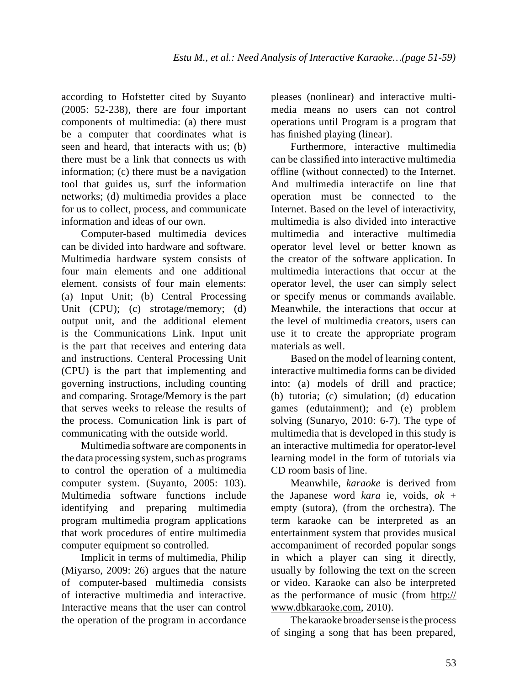according to Hofstetter cited by Suyanto (2005: 52-238), there are four important components of multimedia: (a) there must be a computer that coordinates what is seen and heard, that interacts with us; (b) there must be a link that connects us with information; (c) there must be a navigation tool that guides us, surf the information networks; (d) multimedia provides a place for us to collect, process, and communicate information and ideas of our own.

Computer-based multimedia devices can be divided into hardware and software. Multimedia hardware system consists of four main elements and one additional element. consists of four main elements: (a) Input Unit; (b) Central Processing Unit (CPU); (c) strotage/memory; (d) output unit, and the additional element is the Communications Link. Input unit is the part that receives and entering data and instructions. Centeral Processing Unit (CPU) is the part that implementing and governing instructions, including counting and comparing. Srotage/Memory is the part that serves weeks to release the results of the process. Comunication link is part of communicating with the outside world.

Multimedia software are components in the data processing system, such as programs to control the operation of a multimedia computer system. (Suyanto, 2005: 103). Multimedia software functions include identifying and preparing multimedia program multimedia program applications that work procedures of entire multimedia computer equipment so controlled.

Implicit in terms of multimedia, Philip (Miyarso, 2009: 26) argues that the nature of computer-based multimedia consists of interactive multimedia and interactive. Interactive means that the user can control the operation of the program in accordance

pleases (nonlinear) and interactive multimedia means no users can not control operations until Program is a program that has finished playing (linear).

Furthermore, interactive multimedia can be classified into interactive multimedia offline (without connected) to the Internet. And multimedia interactife on line that operation must be connected to the Internet. Based on the level of interactivity, multimedia is also divided into interactive multimedia and interactive multimedia operator level level or better known as the creator of the software application. In multimedia interactions that occur at the operator level, the user can simply select or specify menus or commands available. Meanwhile, the interactions that occur at the level of multimedia creators, users can use it to create the appropriate program materials as well.

Based on the model of learning content, interactive multimedia forms can be divided into: (a) models of drill and practice; (b) tutoria; (c) simulation; (d) education games (edutainment); and (e) problem solving (Sunaryo, 2010: 6-7). The type of multimedia that is developed in this study is an interactive multimedia for operator-level learning model in the form of tutorials via CD room basis of line.

Meanwhile, *karaoke* is derived from the Japanese word *kara* ie, voids, *ok* + empty (sutora), (from the orchestra). The term karaoke can be interpreted as an entertainment system that provides musical accompaniment of recorded popular songs in which a player can sing it directly, usually by following the text on the screen or video. Karaoke can also be interpreted as the performance of music (from http:// www.dbkaraoke.com, 2010).

The karaoke broader sense is the process of singing a song that has been prepared,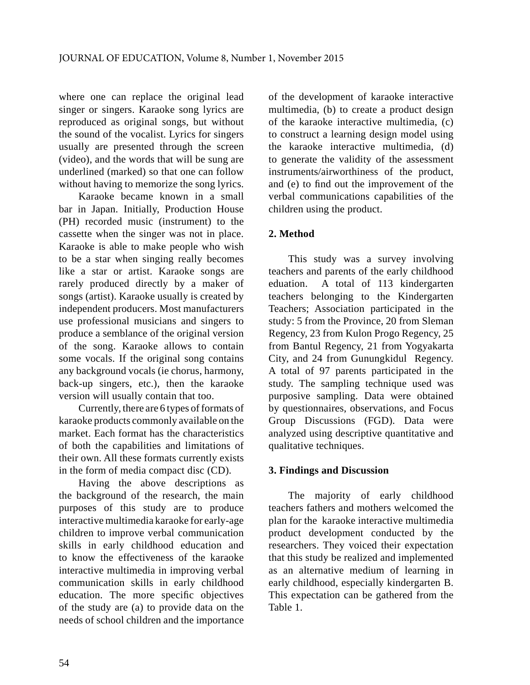where one can replace the original lead singer or singers. Karaoke song lyrics are reproduced as original songs, but without the sound of the vocalist. Lyrics for singers usually are presented through the screen (video), and the words that will be sung are underlined (marked) so that one can follow without having to memorize the song lyrics.

Karaoke became known in a small bar in Japan. Initially, Production House (PH) recorded music (instrument) to the cassette when the singer was not in place. Karaoke is able to make people who wish to be a star when singing really becomes like a star or artist. Karaoke songs are rarely produced directly by a maker of eduation. songs (artist). Karaoke usually is created by independent producers. Most manufacturers use professional musicians and singers to produce a semblance of the original version of the song. Karaoke allows to contain some vocals. If the original song contains any background vocals (ie chorus, harmony, back-up singers, etc.), then the karaoke version will usually contain that too.

Currently, there are 6 types of formats of karaoke products commonly available on the market. Each format has the characteristics of both the capabilities and limitations of their own. All these formats currently exists in the form of media compact disc (CD).

Having the above descriptions as the background of the research, the main purposes of this study are to produce interactive multimedia karaoke for early-age children to improve verbal communication skills in early childhood education and to know the effectiveness of the karaoke interactive multimedia in improving verbal communication skills in early childhood education. The more specific objectives of the study are (a) to provide data on the needs of school children and the importance of the development of karaoke interactive multimedia, (b) to create a product design of the karaoke interactive multimedia, (c) to construct a learning design model using the karaoke interactive multimedia, (d) to generate the validity of the assessment instruments/airworthiness of the product, and (e) to find out the improvement of the verbal communications capabilities of the children using the product.

### **2. Method**

This study was a survey involving teachers and parents of the early childhood A total of 113 kindergarten teachers belonging to the Kindergarten Teachers; Association participated in the study: 5 from the Province, 20 from Sleman Regency, 23 from Kulon Progo Regency, 25 from Bantul Regency, 21 from Yogyakarta City, and 24 from Gunungkidul Regency. A total of 97 parents participated in the study. The sampling technique used was purposive sampling. Data were obtained by questionnaires, observations, and Focus Group Discussions (FGD). Data were analyzed using descriptive quantitative and qualitative techniques.

### **3. Findings and Discussion**

The majority of early childhood teachers fathers and mothers welcomed the plan for the karaoke interactive multimedia product development conducted by the researchers. They voiced their expectation that this study be realized and implemented as an alternative medium of learning in early childhood, especially kindergarten B. This expectation can be gathered from the Table 1.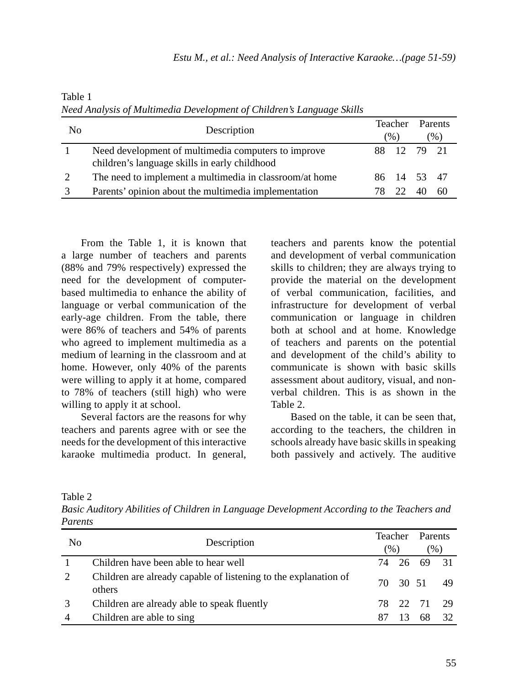| No | Description                                                                                          | Teacher<br>$(\% )$ |             | Parents<br>$(\% )$ |    |
|----|------------------------------------------------------------------------------------------------------|--------------------|-------------|--------------------|----|
|    | Need development of multimedia computers to improve<br>children's language skills in early childhood |                    | 88 12       | 79 21              |    |
|    | The need to implement a multimedia in classroom/at home                                              |                    | 86 14 53 47 |                    |    |
|    | Parents' opinion about the multimedia implementation                                                 |                    |             |                    | 60 |

Table 1 *Need Analysis of Multimedia Development of Children's Language Skills*

From the Table 1, it is known that a large number of teachers and parents (88% and 79% respectively) expressed the need for the development of computerbased multimedia to enhance the ability of language or verbal communication of the early-age children. From the table, there were 86% of teachers and 54% of parents who agreed to implement multimedia as a medium of learning in the classroom and at home. However, only 40% of the parents were willing to apply it at home, compared to 78% of teachers (still high) who were willing to apply it at school.

Several factors are the reasons for why teachers and parents agree with or see the needs for the development of this interactive karaoke multimedia product. In general,

teachers and parents know the potential and development of verbal communication skills to children; they are always trying to provide the material on the development of verbal communication, facilities, and infrastructure for development of verbal communication or language in children both at school and at home. Knowledge of teachers and parents on the potential and development of the child's ability to communicate is shown with basic skills assessment about auditory, visual, and nonverbal children. This is as shown in the Table 2.

Based on the table, it can be seen that, according to the teachers, the children in schools already have basic skills in speaking both passively and actively. The auditive

Table 2

*Basic Auditory Abilities of Children in Language Development According to the Teachers and Parents*

| N <sub>0</sub> | Description                                                               | <b>Teacher</b><br>$(\%)$ |  | Parents<br>$\frac{1}{2}$ |      |
|----------------|---------------------------------------------------------------------------|--------------------------|--|--------------------------|------|
|                | Children have been able to hear well                                      |                          |  | 74 26 69 31              |      |
|                | Children are already capable of listening to the explanation of<br>others |                          |  | 70 30 51 49              |      |
|                | Children are already able to speak fluently                               |                          |  | 78 22 71                 | - 29 |
| 4              | Children are able to sing                                                 |                          |  |                          | 32   |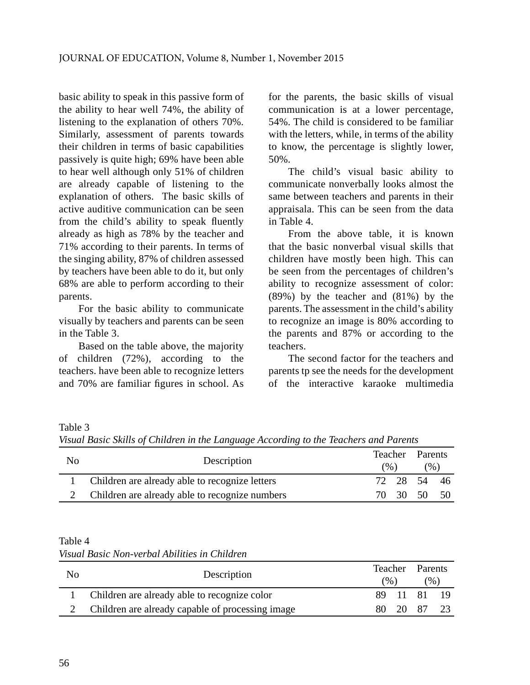basic ability to speak in this passive form of the ability to hear well 74%, the ability of listening to the explanation of others 70%. Similarly, assessment of parents towards their children in terms of basic capabilities passively is quite high; 69% have been able to hear well although only 51% of children are already capable of listening to the explanation of others. The basic skills of active auditive communication can be seen from the child's ability to speak fluently already as high as 78% by the teacher and 71% according to their parents. In terms of the singing ability, 87% of children assessed by teachers have been able to do it, but only 68% are able to perform according to their parents.

For the basic ability to communicate visually by teachers and parents can be seen in the Table 3.

Based on the table above, the majority of children (72%), according to the teachers. have been able to recognize letters and 70% are familiar figures in school. As for the parents, the basic skills of visual communication is at a lower percentage, 54%. The child is considered to be familiar with the letters, while, in terms of the ability to know, the percentage is slightly lower, 50%.

The child's visual basic ability to communicate nonverbally looks almost the same between teachers and parents in their appraisala. This can be seen from the data in Table 4.

From the above table, it is known that the basic nonverbal visual skills that children have mostly been high. This can be seen from the percentages of children's ability to recognize assessment of color: (89%) by the teacher and (81%) by the parents. The assessment in the child's ability to recognize an image is 80% according to the parents and 87% or according to the teachers.

The second factor for the teachers and parents tp see the needs for the development of the interactive karaoke multimedia

Table 3

*Visual Basic Skills of Children in the Language According to the Teachers and Parents*

| N <sub>0</sub> | Description                                    |     | Teacher Parents<br>$\frac{9}{6}$ |             | (96) |  |
|----------------|------------------------------------------------|-----|----------------------------------|-------------|------|--|
|                | Children are already able to recognize letters |     |                                  | 72 28 54 46 |      |  |
|                | Children are already able to recognize numbers | 70. | - 30                             | - 50        | 50   |  |

### Table 4

| No | Description                                      | Teacher<br>$\frac{9}{6}$ |     | <b>Parents</b><br>$\gamma$ <sup>(0</sup> ) |  |
|----|--------------------------------------------------|--------------------------|-----|--------------------------------------------|--|
|    | Children are already able to recognize color     | 89 11                    | -81 | -19                                        |  |
|    | Children are already capable of processing image | 20                       | 87  | 23                                         |  |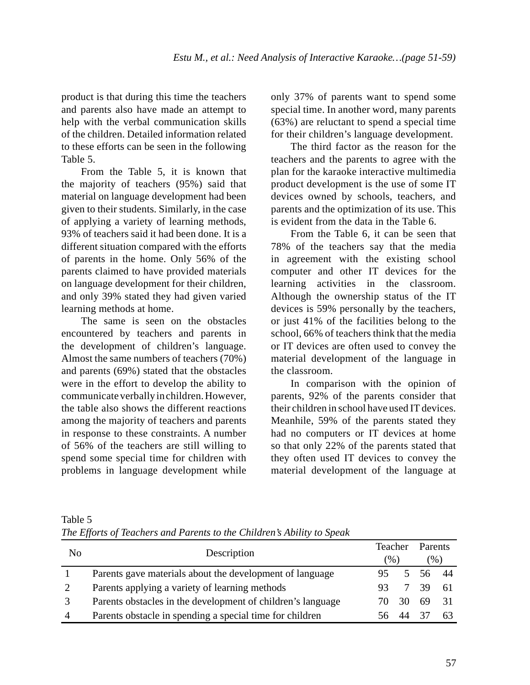product is that during this time the teachers and parents also have made an attempt to help with the verbal communication skills of the children. Detailed information related to these efforts can be seen in the following Table 5.

From the Table 5, it is known that the majority of teachers (95%) said that material on language development had been given to their students. Similarly, in the case of applying a variety of learning methods, 93% of teachers said it had been done. It is a different situation compared with the efforts of parents in the home. Only 56% of the parents claimed to have provided materials on language development for their children, and only 39% stated they had given varied learning methods at home.

The same is seen on the obstacles encountered by teachers and parents in the development of children's language. Almost the same numbers of teachers (70%) and parents (69%) stated that the obstacles were in the effort to develop the ability to communicate verbally in children. However, the table also shows the different reactions among the majority of teachers and parents in response to these constraints. A number of 56% of the teachers are still willing to spend some special time for children with problems in language development while

only 37% of parents want to spend some special time. In another word, many parents (63%) are reluctant to spend a special time for their children's language development.

The third factor as the reason for the teachers and the parents to agree with the plan for the karaoke interactive multimedia product development is the use of some IT devices owned by schools, teachers, and parents and the optimization of its use. This is evident from the data in the Table 6.

From the Table 6, it can be seen that 78% of the teachers say that the media in agreement with the existing school computer and other IT devices for the learning activities in the classroom. Although the ownership status of the IT devices is 59% personally by the teachers, or just 41% of the facilities belong to the school, 66% of teachers think that the media or IT devices are often used to convey the material development of the language in the classroom.

In comparison with the opinion of parents, 92% of the parents consider that their children in school have used IT devices. Meanhile, 59% of the parents stated they had no computers or IT devices at home so that only 22% of the parents stated that they often used IT devices to convey the material development of the language at

| Table 5                                                                |  |  |  |
|------------------------------------------------------------------------|--|--|--|
| The Efforts of Teachers and Parents to the Children's Ability to Speak |  |  |  |

| No             | Description                                                 | Teacher<br>$(\% )$ |    | <b>Parents</b><br>(96) |     |
|----------------|-------------------------------------------------------------|--------------------|----|------------------------|-----|
|                | Parents gave materials about the development of language    |                    |    | 56.                    | 44  |
| 2              | Parents applying a variety of learning methods              | 93                 |    | 39                     | -61 |
|                | Parents obstacles in the development of children's language |                    | 30 | 69                     | 31  |
| $\overline{4}$ | Parents obstacle in spending a special time for children    |                    |    |                        | 63  |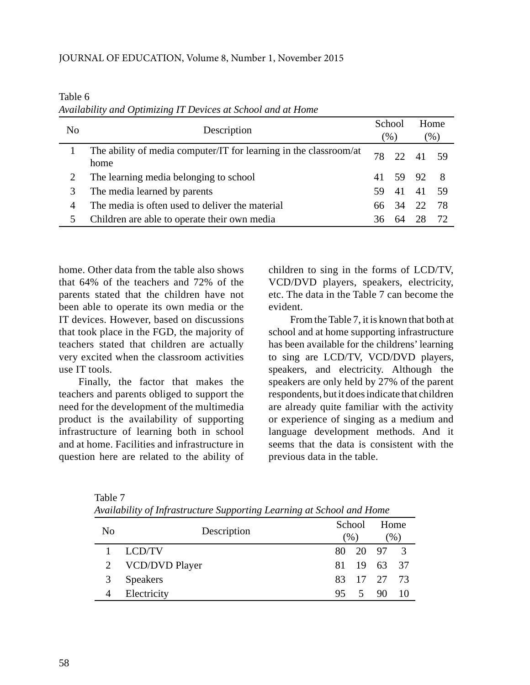Table 6 *Availability and Optimizing IT Devices at School and at Home*

| No | Description                                                               | School<br>$(\%)$ |                 | Home<br>$\mathcal{O}_0$ ) |     |
|----|---------------------------------------------------------------------------|------------------|-----------------|---------------------------|-----|
|    | The ability of media computer/IT for learning in the classroom/at<br>home | 78               | 22 <sub>1</sub> | 41 59                     |     |
|    | The learning media belonging to school                                    | 41               |                 | 59 92                     | - 8 |
| 3  | The media learned by parents                                              | 59.              | 41              | 41                        | -59 |
| 4  | The media is often used to deliver the material                           | 66.              | 34              | -22                       | 78  |
| 5  | Children are able to operate their own media                              |                  | 64              |                           | 72  |

home. Other data from the table also shows that 64% of the teachers and 72% of the parents stated that the children have not been able to operate its own media or the IT devices. However, based on discussions that took place in the FGD, the majority of teachers stated that children are actually very excited when the classroom activities use IT tools.

Finally, the factor that makes the teachers and parents obliged to support the need for the development of the multimedia product is the availability of supporting infrastructure of learning both in school and at home. Facilities and infrastructure in question here are related to the ability of children to sing in the forms of LCD/TV, VCD/DVD players, speakers, electricity, etc. The data in the Table 7 can become the evident.

 From the Table 7, it is known that both at school and at home supporting infrastructure has been available for the childrens' learning to sing are LCD/TV, VCD/DVD players, speakers, and electricity. Although the speakers are only held by 27% of the parent respondents, but it does indicate that children are already quite familiar with the activity or experience of singing as a medium and language development methods. And it seems that the data is consistent with the previous data in the table.

| N <sub>0</sub> | Description      |    | School<br>$(\%)$ |             | Home<br>$\gamma$ <sup><math>\gamma</math></sup> |
|----------------|------------------|----|------------------|-------------|-------------------------------------------------|
|                | LCD/TV           |    |                  | 80 20 97 3  |                                                 |
|                | 2 VCD/DVD Player |    |                  | 81 19 63 37 |                                                 |
|                | <b>Speakers</b>  |    |                  | 83 17 27 73 |                                                 |
|                | Electricity      | 95 |                  | 5 90        | -10                                             |

Table 7 *Availability of Infrastructure Supporting Learning at School and Home*